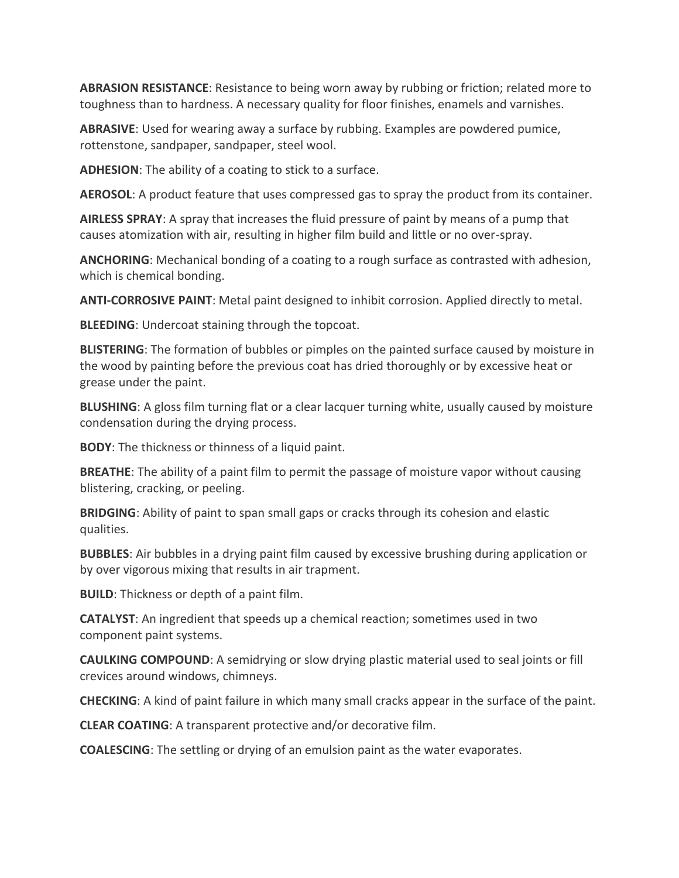**ABRASION RESISTANCE**: Resistance to being worn away by rubbing or friction; related more to toughness than to hardness. A necessary quality for floor finishes, enamels and varnishes.

**ABRASIVE**: Used for wearing away a surface by rubbing. Examples are powdered pumice, rottenstone, sandpaper, sandpaper, steel wool.

**ADHESION**: The ability of a coating to stick to a surface.

**AEROSOL**: A product feature that uses compressed gas to spray the product from its container.

**AIRLESS SPRAY**: A spray that increases the fluid pressure of paint by means of a pump that causes atomization with air, resulting in higher film build and little or no over-spray.

**ANCHORING**: Mechanical bonding of a coating to a rough surface as contrasted with adhesion, which is chemical bonding.

**ANTI-CORROSIVE PAINT**: Metal paint designed to inhibit corrosion. Applied directly to metal.

**BLEEDING**: Undercoat staining through the topcoat.

**BLISTERING**: The formation of bubbles or pimples on the painted surface caused by moisture in the wood by painting before the previous coat has dried thoroughly or by excessive heat or grease under the paint.

**BLUSHING**: A gloss film turning flat or a clear lacquer turning white, usually caused by moisture condensation during the drying process.

**BODY**: The thickness or thinness of a liquid paint.

**BREATHE**: The ability of a paint film to permit the passage of moisture vapor without causing blistering, cracking, or peeling.

**BRIDGING**: Ability of paint to span small gaps or cracks through its cohesion and elastic qualities.

**BUBBLES**: Air bubbles in a drying paint film caused by excessive brushing during application or by over vigorous mixing that results in air trapment.

**BUILD**: Thickness or depth of a paint film.

**CATALYST**: An ingredient that speeds up a chemical reaction; sometimes used in two component paint systems.

**CAULKING COMPOUND**: A semidrying or slow drying plastic material used to seal joints or fill crevices around windows, chimneys.

**CHECKING**: A kind of paint failure in which many small cracks appear in the surface of the paint.

**CLEAR COATING**: A transparent protective and/or decorative film.

**COALESCING**: The settling or drying of an emulsion paint as the water evaporates.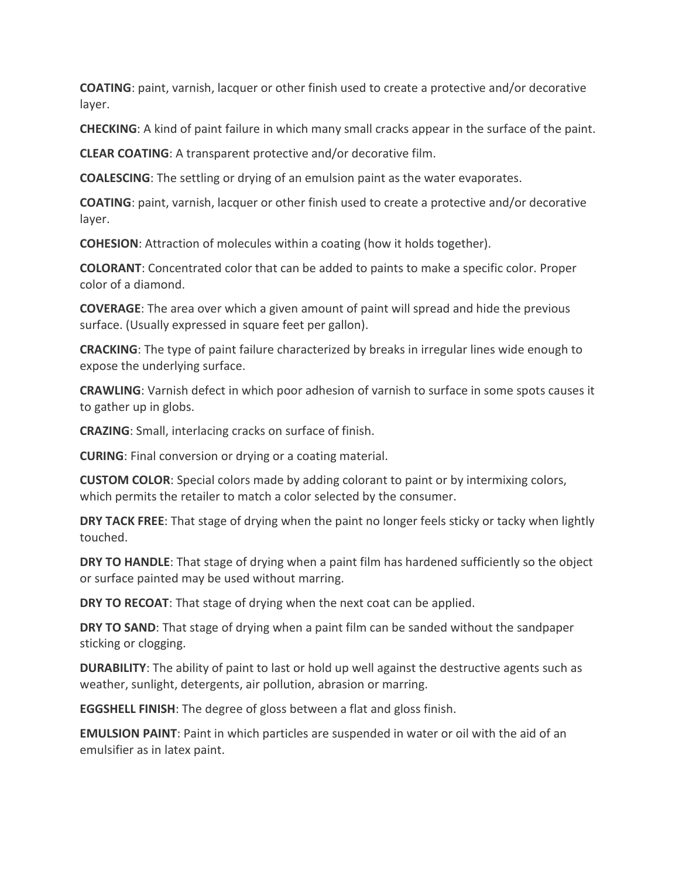**COATING**: paint, varnish, lacquer or other finish used to create a protective and/or decorative layer.

**CHECKING**: A kind of paint failure in which many small cracks appear in the surface of the paint.

**CLEAR COATING**: A transparent protective and/or decorative film.

**COALESCING**: The settling or drying of an emulsion paint as the water evaporates.

**COATING**: paint, varnish, lacquer or other finish used to create a protective and/or decorative layer.

**COHESION**: Attraction of molecules within a coating (how it holds together).

**COLORANT**: Concentrated color that can be added to paints to make a specific color. Proper color of a diamond.

**COVERAGE**: The area over which a given amount of paint will spread and hide the previous surface. (Usually expressed in square feet per gallon).

**CRACKING**: The type of paint failure characterized by breaks in irregular lines wide enough to expose the underlying surface.

**CRAWLING**: Varnish defect in which poor adhesion of varnish to surface in some spots causes it to gather up in globs.

**CRAZING**: Small, interlacing cracks on surface of finish.

**CURING**: Final conversion or drying or a coating material.

**CUSTOM COLOR**: Special colors made by adding colorant to paint or by intermixing colors, which permits the retailer to match a color selected by the consumer.

**DRY TACK FREE**: That stage of drying when the paint no longer feels sticky or tacky when lightly touched.

**DRY TO HANDLE:** That stage of drying when a paint film has hardened sufficiently so the object or surface painted may be used without marring.

**DRY TO RECOAT**: That stage of drying when the next coat can be applied.

**DRY TO SAND**: That stage of drying when a paint film can be sanded without the sandpaper sticking or clogging.

**DURABILITY**: The ability of paint to last or hold up well against the destructive agents such as weather, sunlight, detergents, air pollution, abrasion or marring.

**EGGSHELL FINISH**: The degree of gloss between a flat and gloss finish.

**EMULSION PAINT**: Paint in which particles are suspended in water or oil with the aid of an emulsifier as in latex paint.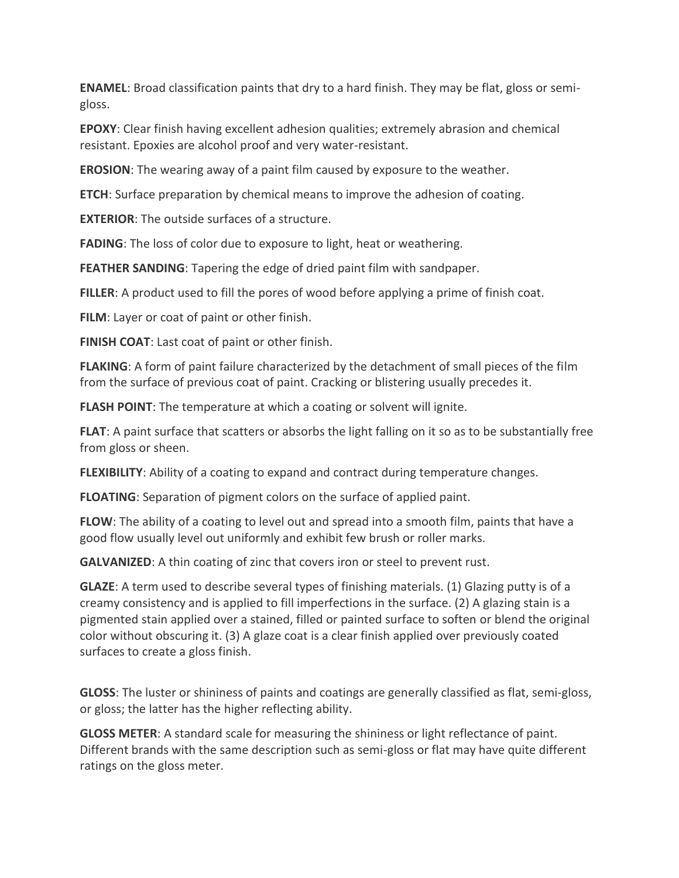**ENAMEL**: Broad classification paints that dry to a hard finish. They may be flat, gloss or semigloss.

**EPOXY**: Clear finish having excellent adhesion qualities; extremely abrasion and chemical resistant. Epoxies are alcohol proof and very water-resistant.

**EROSION**: The wearing away of a paint film caused by exposure to the weather.

**ETCH**: Surface preparation by chemical means to improve the adhesion of coating.

**EXTERIOR**: The outside surfaces of a structure.

**FADING**: The loss of color due to exposure to light, heat or weathering.

**FEATHER SANDING**: Tapering the edge of dried paint film with sandpaper.

**FILLER**: A product used to fill the pores of wood before applying a prime of finish coat.

**FILM**: Layer or coat of paint or other finish.

**FINISH COAT**: Last coat of paint or other finish.

**FLAKING**: A form of paint failure characterized by the detachment of small pieces of the film from the surface of previous coat of paint. Cracking or blistering usually precedes it.

**FLASH POINT**: The temperature at which a coating or solvent will ignite.

**FLAT**: A paint surface that scatters or absorbs the light falling on it so as to be substantially free from gloss or sheen.

**FLEXIBILITY**: Ability of a coating to expand and contract during temperature changes.

**FLOATING**: Separation of pigment colors on the surface of applied paint.

**FLOW**: The ability of a coating to level out and spread into a smooth film, paints that have a good flow usually level out uniformly and exhibit few brush or roller marks.

**GALVANIZED**: A thin coating of zinc that covers iron or steel to prevent rust.

**GLAZE**: A term used to describe several types of finishing materials. (1) Glazing putty is of a creamy consistency and is applied to fill imperfections in the surface. (2) A glazing stain is a pigmented stain applied over a stained, filled or painted surface to soften or blend the original color without obscuring it. (3) A glaze coat is a clear finish applied over previously coated surfaces to create a gloss finish[.](http://www.pinlaser.com/)

**GLOSS**: The luster or shininess of paints and coatings are generally classified as flat, semi-gloss, or gloss; the latter has the higher reflecting ability.

**GLOSS METER**: A standard scale for measuring the shininess or light reflectance of paint. Different brands with the same description such as semi-gloss or flat may have quite different ratings on the gloss meter.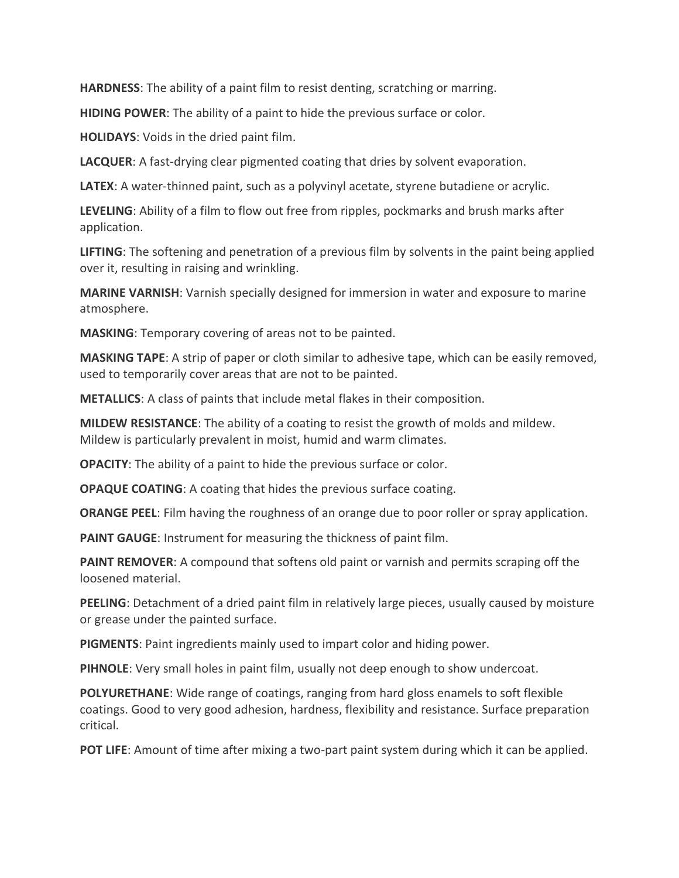**HARDNESS**: The ability of a paint film to resist denting, scratching or marring.

**HIDING POWER**: The ability of a paint to hide the previous surface or color.

**HOLIDAYS**: Voids in the dried paint film.

**LACQUER**: A fast-drying clear pigmented coating that dries by solvent evaporation.

**LATEX**: A water-thinned paint, such as a polyvinyl acetate, styrene butadiene or acrylic.

**LEVELING**: Ability of a film to flow out free from ripples, pockmarks and brush marks after application.

**LIFTING**: The softening and penetration of a previous film by solvents in the paint being applied over it, resulting in raising and wrinkling.

**MARINE VARNISH**: Varnish specially designed for immersion in water and exposure to marine atmosphere.

**MASKING**: Temporary covering of areas not to be painted.

**MASKING TAPE**: A strip of paper or cloth similar to adhesive tape, which can be easily removed, used to temporarily cover areas that are not to be painted.

**METALLICS**: A class of paints that include metal flakes in their composition.

**MILDEW RESISTANCE**: The ability of a coating to resist the growth of molds and mildew. Mildew is particularly prevalent in moist, humid and warm climates.

**OPACITY:** The ability of a paint to hide the previous surface or color.

**OPAQUE COATING**: A coating that hides the previous surface coating.

**ORANGE PEEL**: Film having the roughness of an orange due to poor roller or spray application.

**PAINT GAUGE**: Instrument for measuring the thickness of paint film.

**PAINT REMOVER**: A compound that softens old paint or varnish and permits scraping off the loosened material.

**PEELING**: Detachment of a dried paint film in relatively large pieces, usually caused by moisture or grease under the painted surface.

**PIGMENTS**: Paint ingredients mainly used to impart color and hiding power.

**PIHNOLE**: Very small holes in paint film, usually not deep enough to show undercoat.

**POLYURETHANE**: Wide range of coatings, ranging from hard gloss enamels to soft flexible coatings. Good to very good adhesion, hardness, flexibility and resistance. Surface preparation critical.

**POT LIFE:** Amount of time after mixing a two-part paint system during which it can be applied.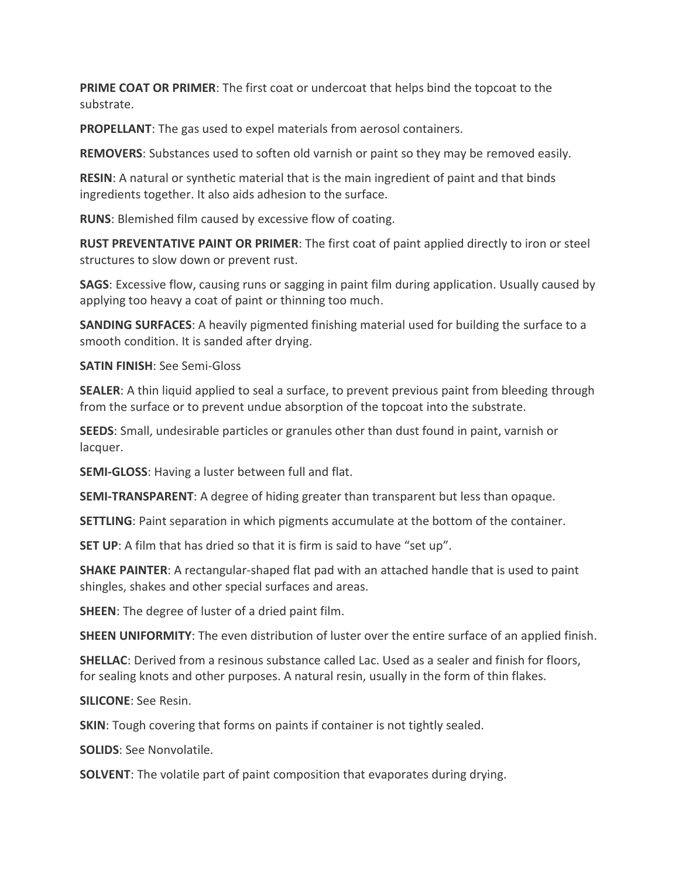**PRIME COAT OR PRIMER**: The first coat or undercoat that helps bind the topcoat to the substrate.

**PROPELLANT**: The gas used to expel materials from aerosol containers.

**REMOVERS**: Substances used to soften old varnish or paint so they may be removed easily.

**RESIN**: A natural or synthetic material that is the main ingredient of paint and that binds ingredients together. It also aids adhesion to the surface.

**RUNS**: Blemished film caused by excessive flow of coating.

**RUST PREVENTATIVE PAINT OR PRIMER**: The first coat of paint applied directly to iron or steel structures to slow down or prevent rust.

**SAGS**: Excessive flow, causing runs or sagging in paint film during application. Usually caused by applying too heavy a coat of paint or thinning too much.

**SANDING SURFACES**: A heavily pigmented finishing material used for building the surface to a smooth condition. It is sanded after drying.

**SATIN FINISH**: See Semi-Gloss

**SEALER**: A thin liquid applied to seal a surface, to prevent previous paint from bleeding through from the surface or to prevent undue absorption of the topcoat into the substrate.

**SEEDS**: Small, undesirable particles or granules other than dust found in paint, varnish or lacquer.

**SEMI-GLOSS**: Having a luster between full and flat.

**SEMI-TRANSPARENT**: A degree of hiding greater than transparent but less than opaque.

**SETTLING**: Paint separation in which pigments accumulate at the bottom of the container.

**SET UP:** A film that has dried so that it is firm is said to have "set up".

**SHAKE PAINTER**: A rectangular-shaped flat pad with an attached handle that is used to paint shingles, shakes and other special surfaces and areas.

**SHEEN**: The degree of luster of a dried paint film.

**SHEEN UNIFORMITY**: The even distribution of luster over the entire surface of an applied finish.

**SHELLAC**: Derived from a resinous substance called Lac. Used as a sealer and finish for floors, for sealing knots and other purposes. A natural resin, usually in the form of thin flakes.

**SILICONE**: See Resin.

**SKIN**: Tough covering that forms on paints if container is not tightly sealed.

**SOLIDS**: See Nonvolatile.

**SOLVENT**: The volatile part of paint composition that evaporates during drying.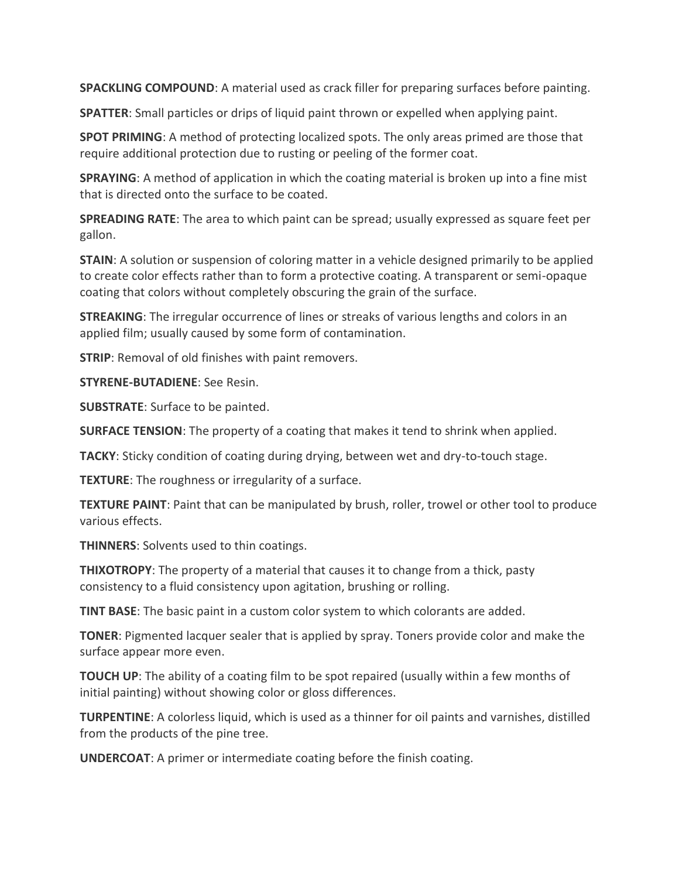**SPACKLING COMPOUND:** A material used as crack filler for preparing surfaces before painting.

**SPATTER**: Small particles or drips of liquid paint thrown or expelled when applying paint.

**SPOT PRIMING**: A method of protecting localized spots. The only areas primed are those that require additional protection due to rusting or peeling of the former coat.

**SPRAYING**: A method of application in which the coating material is broken up into a fine mist that is directed onto the surface to be coated.

**SPREADING RATE**: The area to which paint can be spread; usually expressed as square feet per gallon.

**STAIN**: A solution or suspension of coloring matter in a vehicle designed primarily to be applied to create color effects rather than to form a protective coating. A transparent or semi-opaque coating that colors without completely obscuring the grain of the surface.

**STREAKING**: The irregular occurrence of lines or streaks of various lengths and colors in an applied film; usually caused by some form of contamination.

**STRIP**: Removal of old finishes with paint removers.

**STYRENE-BUTADIENE**: See Resin.

**SUBSTRATE**: Surface to be painted.

**SURFACE TENSION**: The property of a coating that makes it tend to shrink when applied.

**TACKY**: Sticky condition of coating during drying, between wet and dry-to-touch stage.

**TEXTURE**: The roughness or irregularity of a surface.

**TEXTURE PAINT**: Paint that can be manipulated by brush, roller, trowel or other tool to produce various effects.

**THINNERS**: Solvents used to thin coatings.

**THIXOTROPY**: The property of a material that causes it to change from a thick, pasty consistency to a fluid consistency upon agitation, brushing or rolling.

**TINT BASE**: The basic paint in a custom color system to which colorants are added.

**TONER**: Pigmented lacquer sealer that is applied by spray. Toners provide color and make the surface appear more even.

**TOUCH UP**: The ability of a coating film to be spot repaired (usually within a few months of initial painting) without showing color or gloss differences.

**TURPENTINE**: A colorless liquid, which is used as a thinner for oil paints and varnishes, distilled from the products of the pine tree.

**UNDERCOAT**: A primer or intermediate coating before the finish coating.